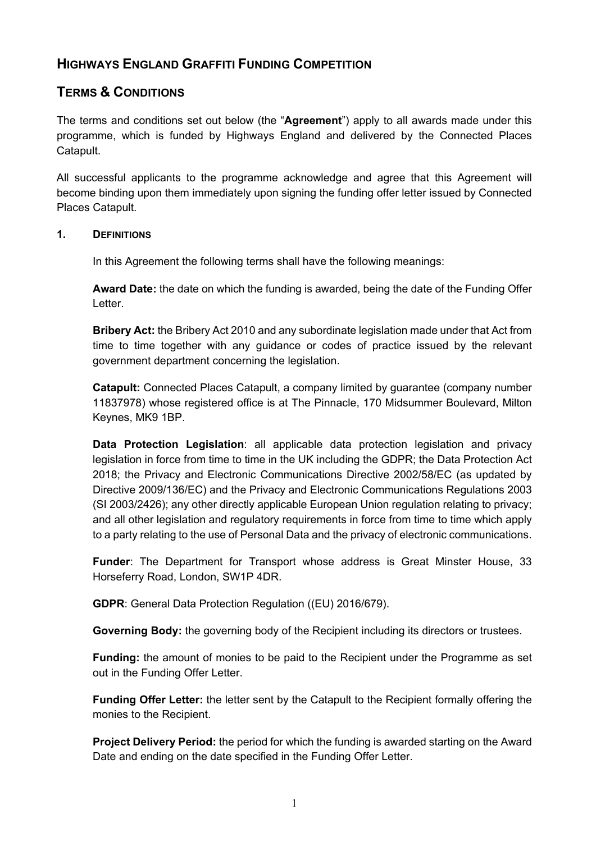# **HIGHWAYS ENGLAND GRAFFITI FUNDING COMPETITION**

# **TERMS & CONDITIONS**

The terms and conditions set out below (the "**Agreement**") apply to all awards made under this programme, which is funded by Highways England and delivered by the Connected Places Catapult.

All successful applicants to the programme acknowledge and agree that this Agreement will become binding upon them immediately upon signing the funding offer letter issued by Connected Places Catapult.

## **1. DEFINITIONS**

In this Agreement the following terms shall have the following meanings:

**Award Date:** the date on which the funding is awarded, being the date of the Funding Offer Letter.

**Bribery Act:** the Bribery Act 2010 and any subordinate legislation made under that Act from time to time together with any guidance or codes of practice issued by the relevant government department concerning the legislation.

**Catapult:** Connected Places Catapult, a company limited by guarantee (company number 11837978) whose registered office is at The Pinnacle, 170 Midsummer Boulevard, Milton Keynes, MK9 1BP.

**Data Protection Legislation**: all applicable data protection legislation and privacy legislation in force from time to time in the UK including the GDPR; the Data Protection Act 2018; the Privacy and Electronic Communications Directive 2002/58/EC (as updated by Directive 2009/136/EC) and the Privacy and Electronic Communications Regulations 2003 (SI 2003/2426); any other directly applicable European Union regulation relating to privacy; and all other legislation and regulatory requirements in force from time to time which apply to a party relating to the use of Personal Data and the privacy of electronic communications.

**Funder**: The Department for Transport whose address is Great Minster House, 33 Horseferry Road, London, SW1P 4DR.

**GDPR**: General Data Protection Regulation ((EU) 2016/679).

**Governing Body:** the governing body of the Recipient including its directors or trustees.

**Funding:** the amount of monies to be paid to the Recipient under the Programme as set out in the Funding Offer Letter.

**Funding Offer Letter:** the letter sent by the Catapult to the Recipient formally offering the monies to the Recipient.

**Project Delivery Period:** the period for which the funding is awarded starting on the Award Date and ending on the date specified in the Funding Offer Letter.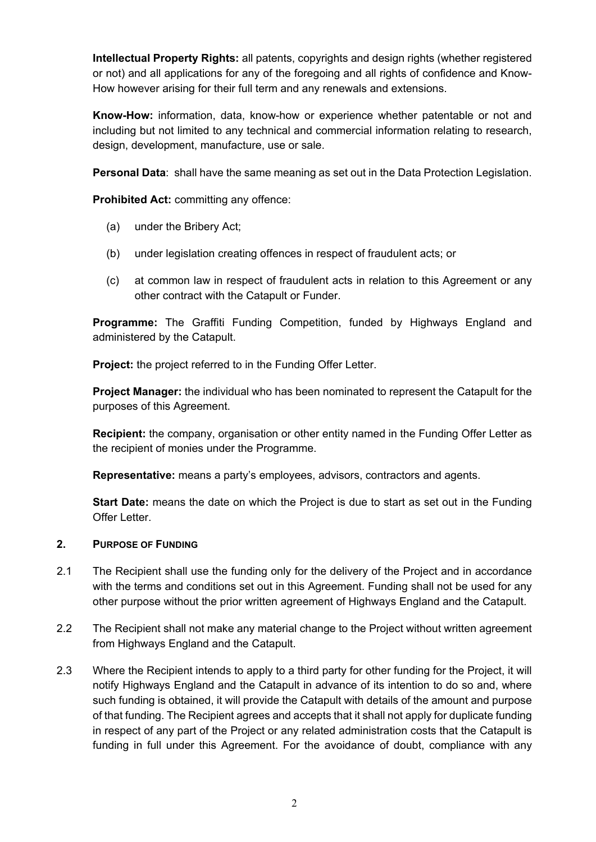**Intellectual Property Rights:** all patents, copyrights and design rights (whether registered or not) and all applications for any of the foregoing and all rights of confidence and Know-How however arising for their full term and any renewals and extensions.

**Know-How:** information, data, know-how or experience whether patentable or not and including but not limited to any technical and commercial information relating to research, design, development, manufacture, use or sale.

**Personal Data**: shall have the same meaning as set out in the Data Protection Legislation.

**Prohibited Act: committing any offence:** 

- (a) under the Bribery Act;
- (b) under legislation creating offences in respect of fraudulent acts; or
- (c) at common law in respect of fraudulent acts in relation to this Agreement or any other contract with the Catapult or Funder.

**Programme:** The Graffiti Funding Competition, funded by Highways England and administered by the Catapult.

**Project:** the project referred to in the Funding Offer Letter.

**Project Manager:** the individual who has been nominated to represent the Catapult for the purposes of this Agreement.

**Recipient:** the company, organisation or other entity named in the Funding Offer Letter as the recipient of monies under the Programme.

**Representative:** means a party's employees, advisors, contractors and agents.

**Start Date:** means the date on which the Project is due to start as set out in the Funding Offer Letter.

### **2. PURPOSE OF FUNDING**

- 2.1 The Recipient shall use the funding only for the delivery of the Project and in accordance with the terms and conditions set out in this Agreement. Funding shall not be used for any other purpose without the prior written agreement of Highways England and the Catapult.
- 2.2 The Recipient shall not make any material change to the Project without written agreement from Highways England and the Catapult.
- 2.3 Where the Recipient intends to apply to a third party for other funding for the Project, it will notify Highways England and the Catapult in advance of its intention to do so and, where such funding is obtained, it will provide the Catapult with details of the amount and purpose of that funding. The Recipient agrees and accepts that it shall not apply for duplicate funding in respect of any part of the Project or any related administration costs that the Catapult is funding in full under this Agreement. For the avoidance of doubt, compliance with any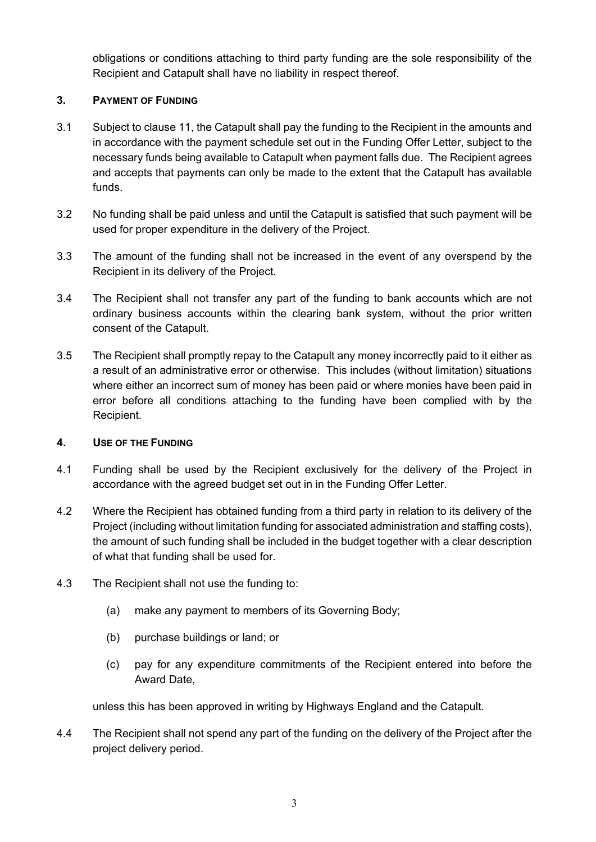obligations or conditions attaching to third party funding are the sole responsibility of the Recipient and Catapult shall have no liability in respect thereof.

# **3. PAYMENT OF FUNDING**

- 3.1 Subject to clause [11,](#page-6-0) the Catapult shall pay the funding to the Recipient in the amounts and in accordance with the payment schedule set out in the Funding Offer Letter, subject to the necessary funds being available to Catapult when payment falls due. The Recipient agrees and accepts that payments can only be made to the extent that the Catapult has available funds.
- 3.2 No funding shall be paid unless and until the Catapult is satisfied that such payment will be used for proper expenditure in the delivery of the Project.
- 3.3 The amount of the funding shall not be increased in the event of any overspend by the Recipient in its delivery of the Project.
- 3.4 The Recipient shall not transfer any part of the funding to bank accounts which are not ordinary business accounts within the clearing bank system, without the prior written consent of the Catapult.
- 3.5 The Recipient shall promptly repay to the Catapult any money incorrectly paid to it either as a result of an administrative error or otherwise. This includes (without limitation) situations where either an incorrect sum of money has been paid or where monies have been paid in error before all conditions attaching to the funding have been complied with by the Recipient.

# **4. USE OF THE FUNDING**

- 4.1 Funding shall be used by the Recipient exclusively for the delivery of the Project in accordance with the agreed budget set out in in the Funding Offer Letter.
- 4.2 Where the Recipient has obtained funding from a third party in relation to its delivery of the Project (including without limitation funding for associated administration and staffing costs), the amount of such funding shall be included in the budget together with a clear description of what that funding shall be used for.
- 4.3 The Recipient shall not use the funding to:
	- (a) make any payment to members of its Governing Body;
	- (b) purchase buildings or land; or
	- (c) pay for any expenditure commitments of the Recipient entered into before the Award Date,

unless this has been approved in writing by Highways England and the Catapult.

4.4 The Recipient shall not spend any part of the funding on the delivery of the Project after the project delivery period.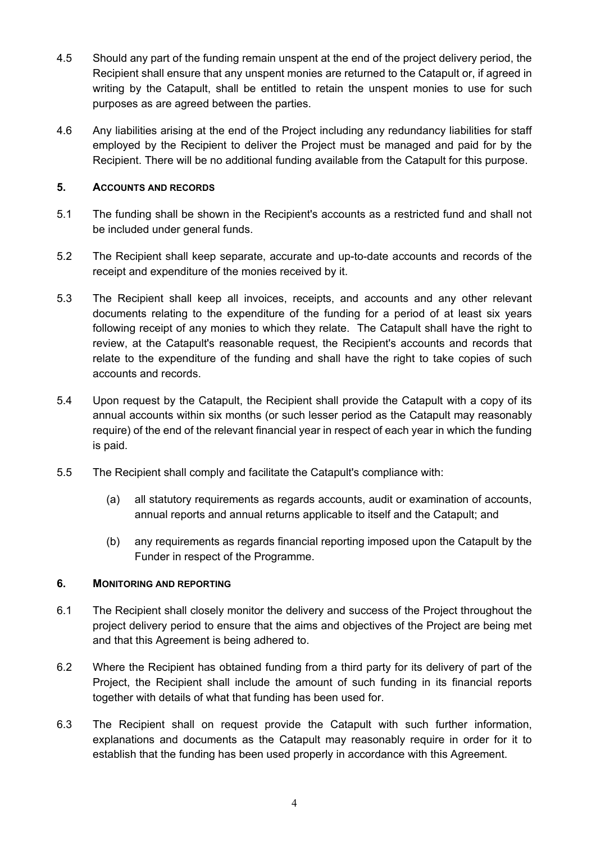- 4.5 Should any part of the funding remain unspent at the end of the project delivery period, the Recipient shall ensure that any unspent monies are returned to the Catapult or, if agreed in writing by the Catapult, shall be entitled to retain the unspent monies to use for such purposes as are agreed between the parties.
- 4.6 Any liabilities arising at the end of the Project including any redundancy liabilities for staff employed by the Recipient to deliver the Project must be managed and paid for by the Recipient. There will be no additional funding available from the Catapult for this purpose.

## **5. ACCOUNTS AND RECORDS**

- 5.1 The funding shall be shown in the Recipient's accounts as a restricted fund and shall not be included under general funds.
- 5.2 The Recipient shall keep separate, accurate and up-to-date accounts and records of the receipt and expenditure of the monies received by it.
- 5.3 The Recipient shall keep all invoices, receipts, and accounts and any other relevant documents relating to the expenditure of the funding for a period of at least six years following receipt of any monies to which they relate. The Catapult shall have the right to review, at the Catapult's reasonable request, the Recipient's accounts and records that relate to the expenditure of the funding and shall have the right to take copies of such accounts and records.
- 5.4 Upon request by the Catapult, the Recipient shall provide the Catapult with a copy of its annual accounts within six months (or such lesser period as the Catapult may reasonably require) of the end of the relevant financial year in respect of each year in which the funding is paid.
- 5.5 The Recipient shall comply and facilitate the Catapult's compliance with:
	- (a) all statutory requirements as regards accounts, audit or examination of accounts, annual reports and annual returns applicable to itself and the Catapult; and
	- (b) any requirements as regards financial reporting imposed upon the Catapult by the Funder in respect of the Programme.

## **6. MONITORING AND REPORTING**

- 6.1 The Recipient shall closely monitor the delivery and success of the Project throughout the project delivery period to ensure that the aims and objectives of the Project are being met and that this Agreement is being adhered to.
- 6.2 Where the Recipient has obtained funding from a third party for its delivery of part of the Project, the Recipient shall include the amount of such funding in its financial reports together with details of what that funding has been used for.
- 6.3 The Recipient shall on request provide the Catapult with such further information, explanations and documents as the Catapult may reasonably require in order for it to establish that the funding has been used properly in accordance with this Agreement.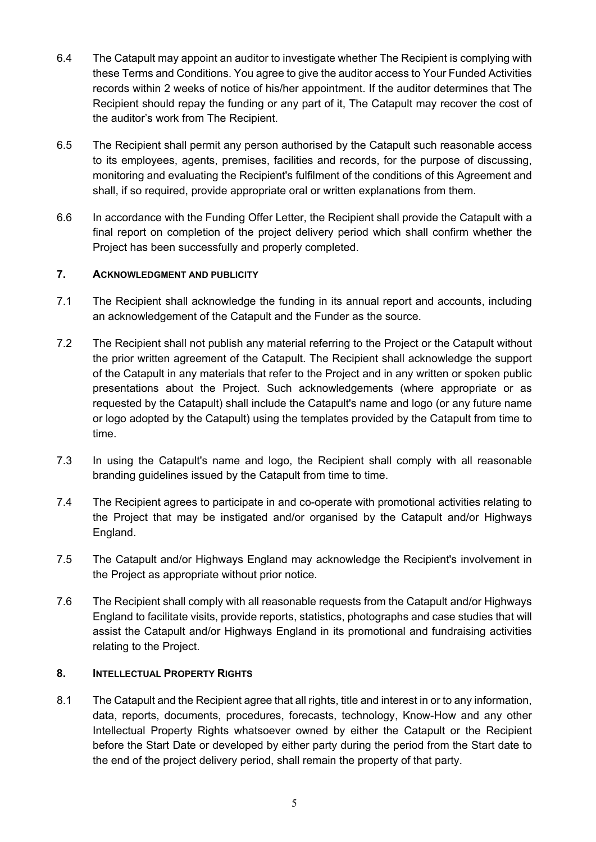- 6.4 The Catapult may appoint an auditor to investigate whether The Recipient is complying with these Terms and Conditions. You agree to give the auditor access to Your Funded Activities records within 2 weeks of notice of his/her appointment. If the auditor determines that The Recipient should repay the funding or any part of it, The Catapult may recover the cost of the auditor's work from The Recipient.
- 6.5 The Recipient shall permit any person authorised by the Catapult such reasonable access to its employees, agents, premises, facilities and records, for the purpose of discussing, monitoring and evaluating the Recipient's fulfilment of the conditions of this Agreement and shall, if so required, provide appropriate oral or written explanations from them.
- 6.6 In accordance with the Funding Offer Letter, the Recipient shall provide the Catapult with a final report on completion of the project delivery period which shall confirm whether the Project has been successfully and properly completed.

## **7. ACKNOWLEDGMENT AND PUBLICITY**

- 7.1 The Recipient shall acknowledge the funding in its annual report and accounts, including an acknowledgement of the Catapult and the Funder as the source.
- 7.2 The Recipient shall not publish any material referring to the Project or the Catapult without the prior written agreement of the Catapult. The Recipient shall acknowledge the support of the Catapult in any materials that refer to the Project and in any written or spoken public presentations about the Project. Such acknowledgements (where appropriate or as requested by the Catapult) shall include the Catapult's name and logo (or any future name or logo adopted by the Catapult) using the templates provided by the Catapult from time to time.
- 7.3 In using the Catapult's name and logo, the Recipient shall comply with all reasonable branding guidelines issued by the Catapult from time to time.
- 7.4 The Recipient agrees to participate in and co-operate with promotional activities relating to the Project that may be instigated and/or organised by the Catapult and/or Highways England.
- 7.5 The Catapult and/or Highways England may acknowledge the Recipient's involvement in the Project as appropriate without prior notice.
- 7.6 The Recipient shall comply with all reasonable requests from the Catapult and/or Highways England to facilitate visits, provide reports, statistics, photographs and case studies that will assist the Catapult and/or Highways England in its promotional and fundraising activities relating to the Project.

## **8. INTELLECTUAL PROPERTY RIGHTS**

8.1 The Catapult and the Recipient agree that all rights, title and interest in or to any information, data, reports, documents, procedures, forecasts, technology, Know-How and any other Intellectual Property Rights whatsoever owned by either the Catapult or the Recipient before the Start Date or developed by either party during the period from the Start date to the end of the project delivery period, shall remain the property of that party.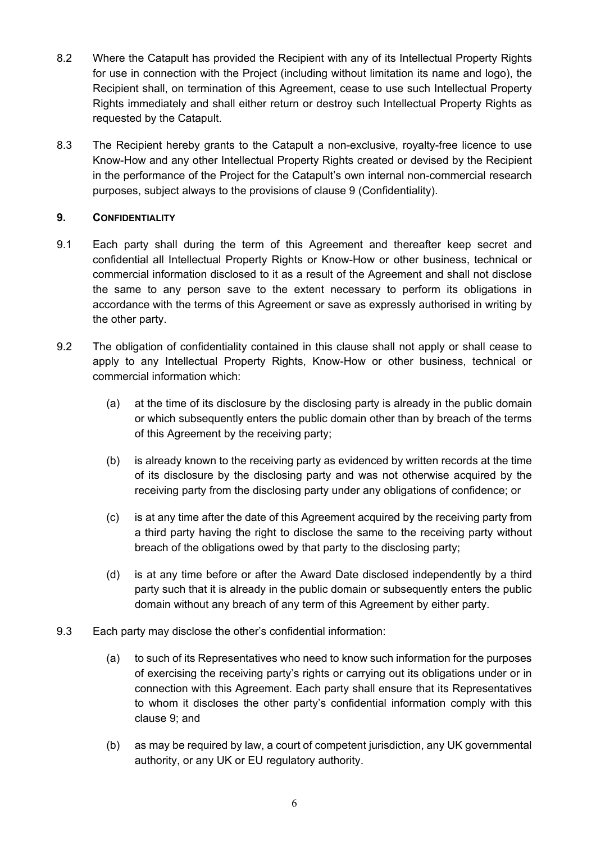- 8.2 Where the Catapult has provided the Recipient with any of its Intellectual Property Rights for use in connection with the Project (including without limitation its name and logo), the Recipient shall, on termination of this Agreement, cease to use such Intellectual Property Rights immediately and shall either return or destroy such Intellectual Property Rights as requested by the Catapult.
- 8.3 The Recipient hereby grants to the Catapult a non-exclusive, royalty-free licence to use Know-How and any other Intellectual Property Rights created or devised by the Recipient in the performance of the Project for the Catapult's own internal non-commercial research purposes, subject always to the provisions of clause [9](#page-5-0) (Confidentiality).

# <span id="page-5-0"></span>**9. CONFIDENTIALITY**

- 9.1 Each party shall during the term of this Agreement and thereafter keep secret and confidential all Intellectual Property Rights or Know-How or other business, technical or commercial information disclosed to it as a result of the Agreement and shall not disclose the same to any person save to the extent necessary to perform its obligations in accordance with the terms of this Agreement or save as expressly authorised in writing by the other party.
- 9.2 The obligation of confidentiality contained in this clause shall not apply or shall cease to apply to any Intellectual Property Rights, Know-How or other business, technical or commercial information which:
	- (a) at the time of its disclosure by the disclosing party is already in the public domain or which subsequently enters the public domain other than by breach of the terms of this Agreement by the receiving party;
	- (b) is already known to the receiving party as evidenced by written records at the time of its disclosure by the disclosing party and was not otherwise acquired by the receiving party from the disclosing party under any obligations of confidence; or
	- (c) is at any time after the date of this Agreement acquired by the receiving party from a third party having the right to disclose the same to the receiving party without breach of the obligations owed by that party to the disclosing party;
	- (d) is at any time before or after the Award Date disclosed independently by a third party such that it is already in the public domain or subsequently enters the public domain without any breach of any term of this Agreement by either party.
- 9.3 Each party may disclose the other's confidential information:
	- (a) to such of its Representatives who need to know such information for the purposes of exercising the receiving party's rights or carrying out its obligations under or in connection with this Agreement. Each party shall ensure that its Representatives to whom it discloses the other party's confidential information comply with this clause [9;](#page-5-0) and
	- (b) as may be required by law, a court of competent jurisdiction, any UK governmental authority, or any UK or EU regulatory authority.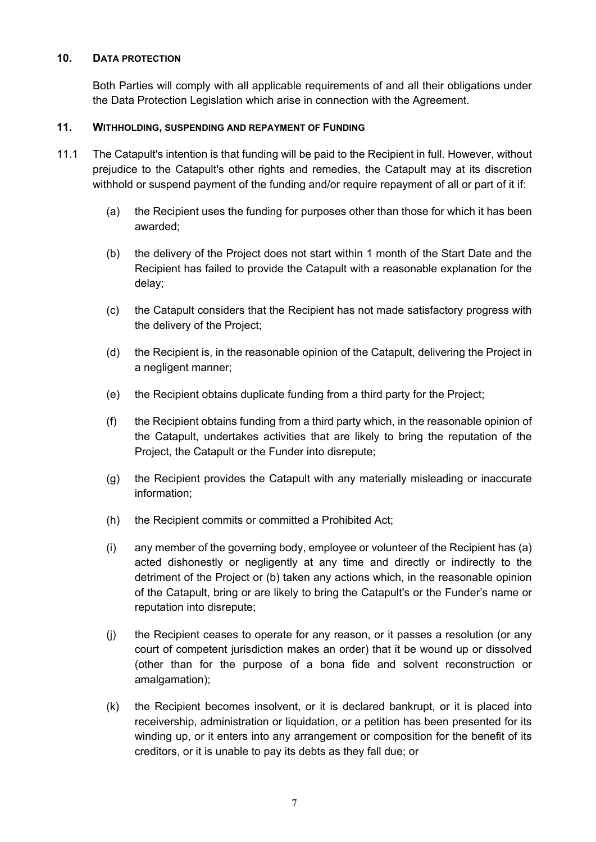#### **10. DATA PROTECTION**

Both Parties will comply with all applicable requirements of and all their obligations under the Data Protection Legislation which arise in connection with the Agreement.

## <span id="page-6-0"></span>**11. WITHHOLDING, SUSPENDING AND REPAYMENT OF FUNDING**

- 11.1 The Catapult's intention is that funding will be paid to the Recipient in full. However, without prejudice to the Catapult's other rights and remedies, the Catapult may at its discretion withhold or suspend payment of the funding and/or require repayment of all or part of it if:
	- (a) the Recipient uses the funding for purposes other than those for which it has been awarded;
	- (b) the delivery of the Project does not start within 1 month of the Start Date and the Recipient has failed to provide the Catapult with a reasonable explanation for the delay;
	- (c) the Catapult considers that the Recipient has not made satisfactory progress with the delivery of the Project;
	- (d) the Recipient is, in the reasonable opinion of the Catapult, delivering the Project in a negligent manner;
	- (e) the Recipient obtains duplicate funding from a third party for the Project;
	- (f) the Recipient obtains funding from a third party which, in the reasonable opinion of the Catapult, undertakes activities that are likely to bring the reputation of the Project, the Catapult or the Funder into disrepute;
	- (g) the Recipient provides the Catapult with any materially misleading or inaccurate information;
	- (h) the Recipient commits or committed a Prohibited Act;
	- (i) any member of the governing body, employee or volunteer of the Recipient has (a) acted dishonestly or negligently at any time and directly or indirectly to the detriment of the Project or (b) taken any actions which, in the reasonable opinion of the Catapult, bring or are likely to bring the Catapult's or the Funder's name or reputation into disrepute;
	- (j) the Recipient ceases to operate for any reason, or it passes a resolution (or any court of competent jurisdiction makes an order) that it be wound up or dissolved (other than for the purpose of a bona fide and solvent reconstruction or amalgamation);
	- (k) the Recipient becomes insolvent, or it is declared bankrupt, or it is placed into receivership, administration or liquidation, or a petition has been presented for its winding up, or it enters into any arrangement or composition for the benefit of its creditors, or it is unable to pay its debts as they fall due; or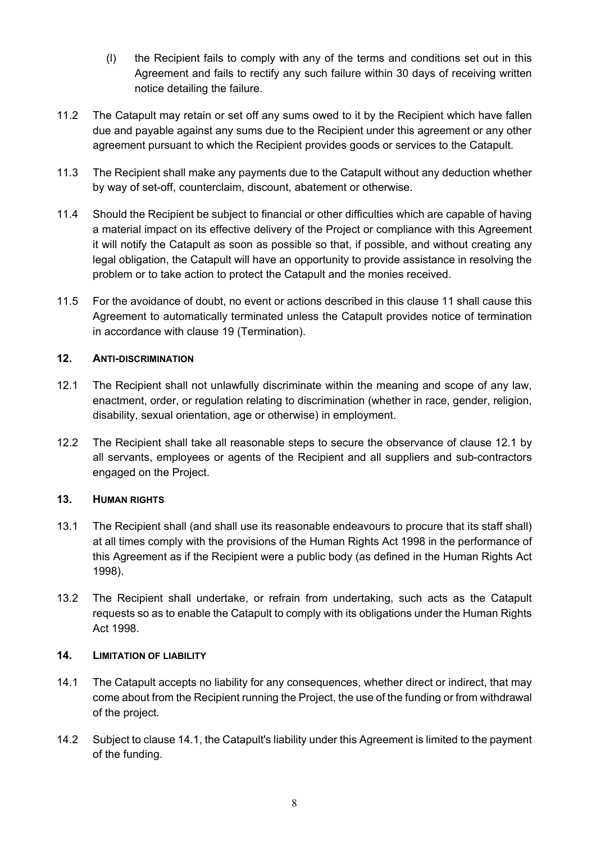- (l) the Recipient fails to comply with any of the terms and conditions set out in this Agreement and fails to rectify any such failure within 30 days of receiving written notice detailing the failure.
- 11.2 The Catapult may retain or set off any sums owed to it by the Recipient which have fallen due and payable against any sums due to the Recipient under this agreement or any other agreement pursuant to which the Recipient provides goods or services to the Catapult.
- 11.3 The Recipient shall make any payments due to the Catapult without any deduction whether by way of set-off, counterclaim, discount, abatement or otherwise.
- 11.4 Should the Recipient be subject to financial or other difficulties which are capable of having a material impact on its effective delivery of the Project or compliance with this Agreement it will notify the Catapult as soon as possible so that, if possible, and without creating any legal obligation, the Catapult will have an opportunity to provide assistance in resolving the problem or to take action to protect the Catapult and the monies received.
- 11.5 For the avoidance of doubt, no event or actions described in this clause [11](#page-6-0) shall cause this Agreement to automatically terminated unless the Catapult provides notice of termination in accordance with clause [19](#page-9-0) (Termination).

## **12. ANTI-DISCRIMINATION**

- <span id="page-7-0"></span>12.1 The Recipient shall not unlawfully discriminate within the meaning and scope of any law, enactment, order, or regulation relating to discrimination (whether in race, gender, religion, disability, sexual orientation, age or otherwise) in employment.
- 12.2 The Recipient shall take all reasonable steps to secure the observance of clause [12.1](#page-7-0) by all servants, employees or agents of the Recipient and all suppliers and sub-contractors engaged on the Project.

# **13. HUMAN RIGHTS**

- 13.1 The Recipient shall (and shall use its reasonable endeavours to procure that its staff shall) at all times comply with the provisions of the Human Rights Act 1998 in the performance of this Agreement as if the Recipient were a public body (as defined in the Human Rights Act 1998).
- 13.2 The Recipient shall undertake, or refrain from undertaking, such acts as the Catapult requests so as to enable the Catapult to comply with its obligations under the Human Rights Act 1998.

## **14. LIMITATION OF LIABILITY**

- <span id="page-7-1"></span>14.1 The Catapult accepts no liability for any consequences, whether direct or indirect, that may come about from the Recipient running the Project, the use of the funding or from withdrawal of the project.
- 14.2 Subject to claus[e 14.1,](#page-7-1) the Catapult's liability under this Agreement is limited to the payment of the funding.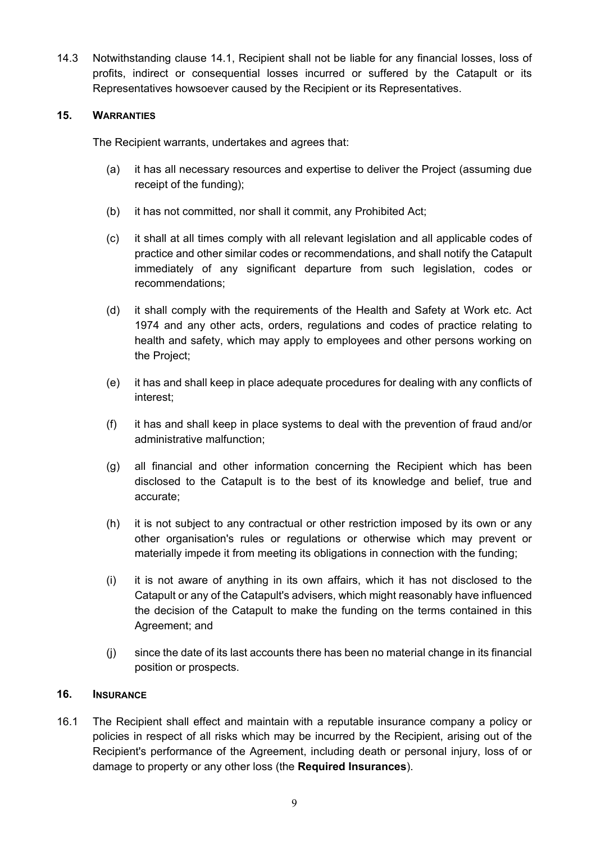14.3 Notwithstanding clause [14.1,](#page-7-1) Recipient shall not be liable for any financial losses, loss of profits, indirect or consequential losses incurred or suffered by the Catapult or its Representatives howsoever caused by the Recipient or its Representatives.

## **15. WARRANTIES**

The Recipient warrants, undertakes and agrees that:

- (a) it has all necessary resources and expertise to deliver the Project (assuming due receipt of the funding);
- (b) it has not committed, nor shall it commit, any Prohibited Act;
- (c) it shall at all times comply with all relevant legislation and all applicable codes of practice and other similar codes or recommendations, and shall notify the Catapult immediately of any significant departure from such legislation, codes or recommendations;
- (d) it shall comply with the requirements of the Health and Safety at Work etc. Act 1974 and any other acts, orders, regulations and codes of practice relating to health and safety, which may apply to employees and other persons working on the Project;
- (e) it has and shall keep in place adequate procedures for dealing with any conflicts of interest;
- (f) it has and shall keep in place systems to deal with the prevention of fraud and/or administrative malfunction;
- (g) all financial and other information concerning the Recipient which has been disclosed to the Catapult is to the best of its knowledge and belief, true and accurate;
- (h) it is not subject to any contractual or other restriction imposed by its own or any other organisation's rules or regulations or otherwise which may prevent or materially impede it from meeting its obligations in connection with the funding;
- (i) it is not aware of anything in its own affairs, which it has not disclosed to the Catapult or any of the Catapult's advisers, which might reasonably have influenced the decision of the Catapult to make the funding on the terms contained in this Agreement; and
- (j) since the date of its last accounts there has been no material change in its financial position or prospects.

# **16. INSURANCE**

16.1 The Recipient shall effect and maintain with a reputable insurance company a policy or policies in respect of all risks which may be incurred by the Recipient, arising out of the Recipient's performance of the Agreement, including death or personal injury, loss of or damage to property or any other loss (the **Required Insurances**).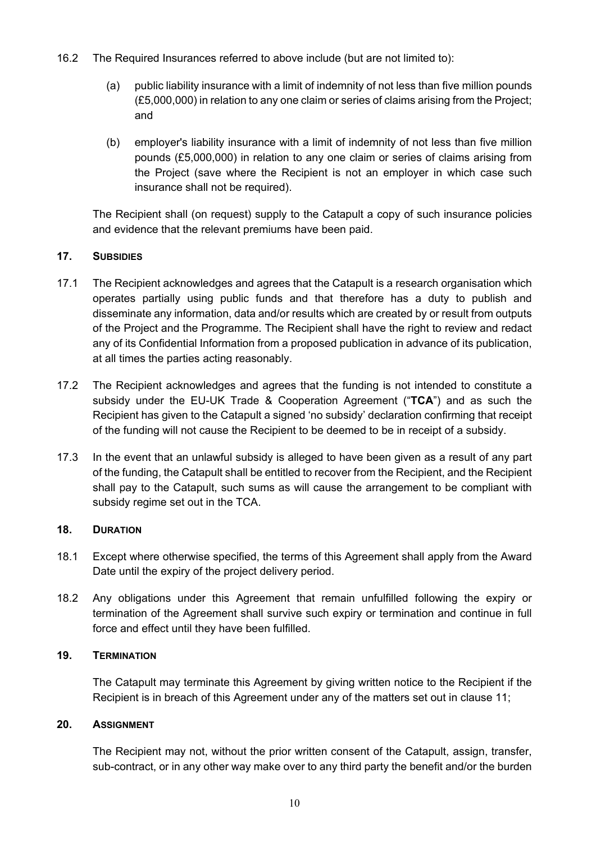- 16.2 The Required Insurances referred to above include (but are not limited to):
	- (a) public liability insurance with a limit of indemnity of not less than five million pounds (£5,000,000) in relation to any one claim or series of claims arising from the Project; and
	- (b) employer's liability insurance with a limit of indemnity of not less than five million pounds (£5,000,000) in relation to any one claim or series of claims arising from the Project (save where the Recipient is not an employer in which case such insurance shall not be required).

The Recipient shall (on request) supply to the Catapult a copy of such insurance policies and evidence that the relevant premiums have been paid.

## **17. SUBSIDIES**

- 17.1 The Recipient acknowledges and agrees that the Catapult is a research organisation which operates partially using public funds and that therefore has a duty to publish and disseminate any information, data and/or results which are created by or result from outputs of the Project and the Programme. The Recipient shall have the right to review and redact any of its Confidential Information from a proposed publication in advance of its publication, at all times the parties acting reasonably.
- 17.2 The Recipient acknowledges and agrees that the funding is not intended to constitute a subsidy under the EU-UK Trade & Cooperation Agreement ("**TCA**") and as such the Recipient has given to the Catapult a signed 'no subsidy' declaration confirming that receipt of the funding will not cause the Recipient to be deemed to be in receipt of a subsidy.
- 17.3 In the event that an unlawful subsidy is alleged to have been given as a result of any part of the funding, the Catapult shall be entitled to recover from the Recipient, and the Recipient shall pay to the Catapult, such sums as will cause the arrangement to be compliant with subsidy regime set out in the TCA.

### **18. DURATION**

- 18.1 Except where otherwise specified, the terms of this Agreement shall apply from the Award Date until the expiry of the project delivery period.
- 18.2 Any obligations under this Agreement that remain unfulfilled following the expiry or termination of the Agreement shall survive such expiry or termination and continue in full force and effect until they have been fulfilled.

## <span id="page-9-0"></span>**19. TERMINATION**

The Catapult may terminate this Agreement by giving written notice to the Recipient if the Recipient is in breach of this Agreement under any of the matters set out in clause [11;](#page-6-0)

### **20. ASSIGNMENT**

The Recipient may not, without the prior written consent of the Catapult, assign, transfer, sub-contract, or in any other way make over to any third party the benefit and/or the burden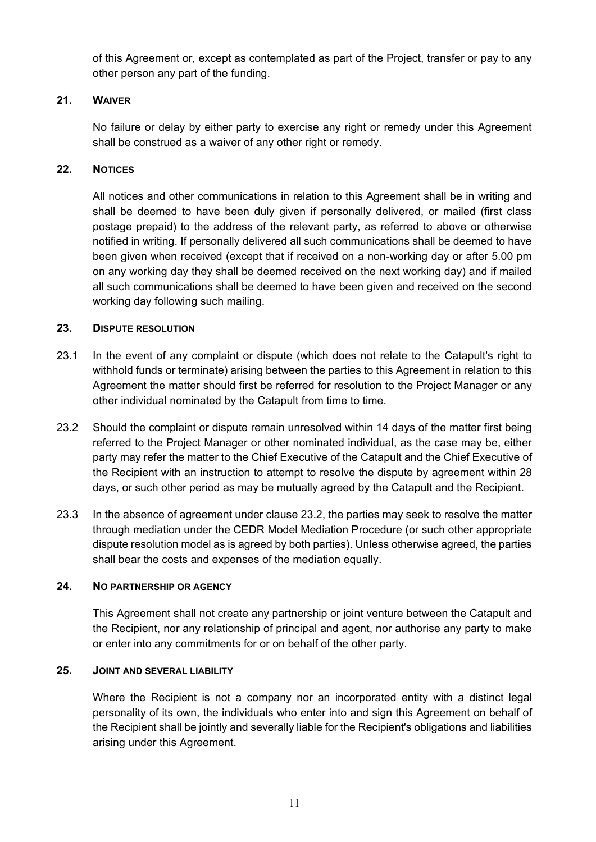of this Agreement or, except as contemplated as part of the Project, transfer or pay to any other person any part of the funding.

## **21. WAIVER**

No failure or delay by either party to exercise any right or remedy under this Agreement shall be construed as a waiver of any other right or remedy.

## **22. NOTICES**

All notices and other communications in relation to this Agreement shall be in writing and shall be deemed to have been duly given if personally delivered, or mailed (first class postage prepaid) to the address of the relevant party, as referred to above or otherwise notified in writing. If personally delivered all such communications shall be deemed to have been given when received (except that if received on a non-working day or after 5.00 pm on any working day they shall be deemed received on the next working day) and if mailed all such communications shall be deemed to have been given and received on the second working day following such mailing.

## **23. DISPUTE RESOLUTION**

- 23.1 In the event of any complaint or dispute (which does not relate to the Catapult's right to withhold funds or terminate) arising between the parties to this Agreement in relation to this Agreement the matter should first be referred for resolution to the Project Manager or any other individual nominated by the Catapult from time to time.
- <span id="page-10-0"></span>23.2 Should the complaint or dispute remain unresolved within 14 days of the matter first being referred to the Project Manager or other nominated individual, as the case may be, either party may refer the matter to the Chief Executive of the Catapult and the Chief Executive of the Recipient with an instruction to attempt to resolve the dispute by agreement within 28 days, or such other period as may be mutually agreed by the Catapult and the Recipient.
- 23.3 In the absence of agreement under clause [23.2,](#page-10-0) the parties may seek to resolve the matter through mediation under the CEDR Model Mediation Procedure (or such other appropriate dispute resolution model as is agreed by both parties). Unless otherwise agreed, the parties shall bear the costs and expenses of the mediation equally.

## **24. NO PARTNERSHIP OR AGENCY**

This Agreement shall not create any partnership or joint venture between the Catapult and the Recipient, nor any relationship of principal and agent, nor authorise any party to make or enter into any commitments for or on behalf of the other party.

## **25. JOINT AND SEVERAL LIABILITY**

Where the Recipient is not a company nor an incorporated entity with a distinct legal personality of its own, the individuals who enter into and sign this Agreement on behalf of the Recipient shall be jointly and severally liable for the Recipient's obligations and liabilities arising under this Agreement.